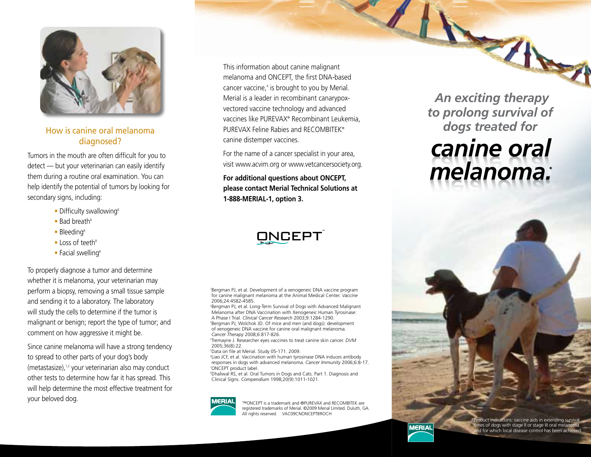

How is canine oral melanoma diagnosed?

Tumors in the mouth are often difficult for you to detect — but your veterinarian can easily identify them during a routine oral examination. You can help identify the potential of tumors by looking for secondary signs, including:

- Difficulty swallowing<sup>8</sup>
- $\bullet$  Bad breath<sup>8</sup>
- $\bullet$  Bleeding<sup>8</sup>
- $\bullet$  Loss of teeth $8$
- $\bullet$  Facial swelling<sup>8</sup>

To properly diagnose a tumor and determine whether it is melanoma, your veterinarian may perform a biopsy, removing a small tissue sample and sending it to a laboratory. The laboratory will study the cells to determine if the tumor is malignant or benign; report the type of tumor; and comment on how aggressive it might be.

Since canine melanoma will have a strong tendency to spread to other parts of your dog's body (metastasize), $1,2$  your veterinarian also may conduct other tests to determine how far it has spread. This will help determine the most effective treatment for your beloved dog.

This information about canine malignant melanoma and ONCEPT, the first DNA-based cancer vaccine,<sup>4</sup> is brought to you by Merial. Merial is a leader in recombinant canarypoxvectored vaccine technology and advanced vaccines like PUREVAX® Recombinant Leukemia, PUREVAX Feline Rabies and RECOMBITEK® canine distemper vaccines.

For the name of a cancer specialist in your area, visit www.acvim.org or www.vetcancersociety.org.

**For additional questions about ONCEPT, please contact Merial Technical Solutions at 1-888-MERIAL-1, option 3.**

# **ONCEPT**

1 Bergman PJ, et al. Development of a xenogeneic DNA vaccine program for canine malignant melanoma at the Animal Medical Center. *Vaccine* 2006;24:4582-4585.

2 Bergman PJ, et al. Long-Term Survival of Dogs with Advanced Malignant Melanoma after DNA Vaccination with Xenogeneic Human Tyrosinase: A Phase I Trial. *Clinical Cancer Research* 2003;9:1284-1290. 3 <sup>3</sup>Bergman PJ, Wolchok JD. Of mice and men (and dogs): development of xenogeneic DNA vaccine for canine oral malignant melanoma. *Cancer Therapy* 2008;6:817-826.

4 Tremayne J. Researcher eyes vaccines to treat canine skin cancer. *DVM* 2005;36(8):22.

5 Data on file at Merial. Study 05-171. 2009.

6 Liao JCF, et al. Vaccination with human tyrosinase DNA induces antibody responses in dogs with advanced melanoma. *Cancer Immunity* 2006;6:8-17. 7 ONCEPT product label.

8 Dhaliwal RS, et al. Oral Tumors in Dogs and Cats. Part 1. Diagnosis and Clinical Signs. *Compendium* 1998;20(9):1011-1021.



™ONCEPT is a trademark and ®PUREVAX and RECOMBITEK are registered trademarks of Merial. ©2009 Merial Limited. Duluth, GA. All rights reserved. VAC09CNONCEPTBROCH

*An exciting therapy to prolong survival of dogs treated for* 

# *canine oral melanoma. \**